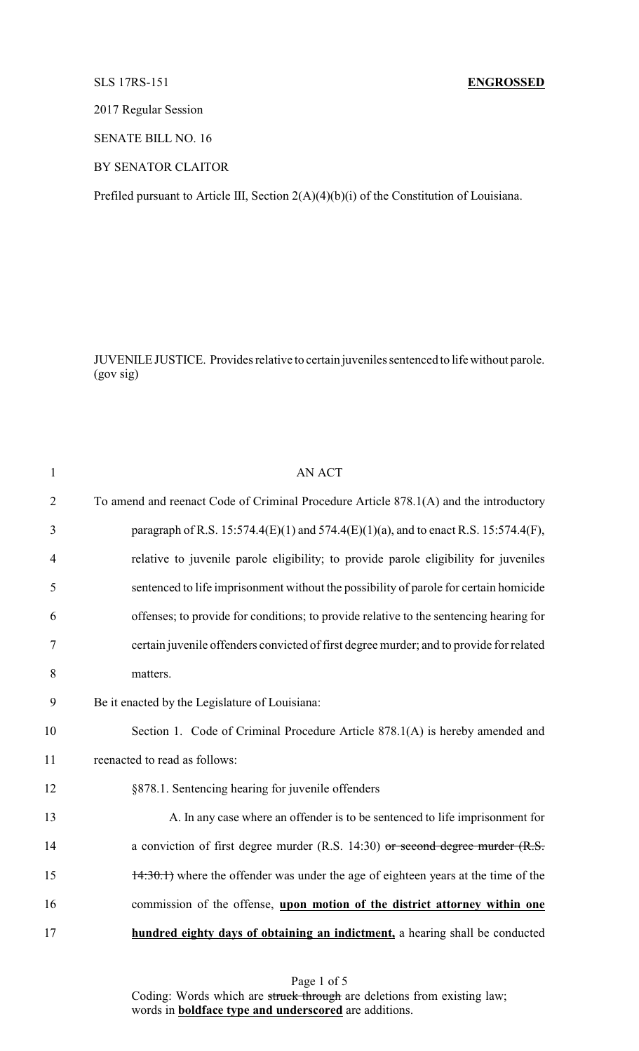## SLS 17RS-151 **ENGROSSED**

2017 Regular Session

SENATE BILL NO. 16

BY SENATOR CLAITOR

Prefiled pursuant to Article III, Section 2(A)(4)(b)(i) of the Constitution of Louisiana.

JUVENILE JUSTICE. Provides relative to certain juveniles sentenced to life without parole. (gov sig)

| $\mathbf{1}$   | <b>AN ACT</b>                                                                           |
|----------------|-----------------------------------------------------------------------------------------|
| $\overline{2}$ | To amend and reenact Code of Criminal Procedure Article 878.1(A) and the introductory   |
| 3              | paragraph of R.S. 15:574.4(E)(1) and 574.4(E)(1)(a), and to enact R.S. 15:574.4(F),     |
| 4              | relative to juvenile parole eligibility; to provide parole eligibility for juveniles    |
| 5              | sentenced to life imprisonment without the possibility of parole for certain homicide   |
| 6              | offenses; to provide for conditions; to provide relative to the sentencing hearing for  |
| 7              | certain juvenile offenders convicted of first degree murder; and to provide for related |
| 8              | matters.                                                                                |
| 9              | Be it enacted by the Legislature of Louisiana:                                          |
| 10             | Section 1. Code of Criminal Procedure Article 878.1(A) is hereby amended and            |
| 11             | reenacted to read as follows:                                                           |
| 12             | §878.1. Sentencing hearing for juvenile offenders                                       |
| 13             | A. In any case where an offender is to be sentenced to life imprisonment for            |
| 14             | a conviction of first degree murder (R.S. 14:30) or second degree murder $(R.S. 14:30)$ |
| 15             | 14:30.1) where the offender was under the age of eighteen years at the time of the      |
| 16             | commission of the offense, upon motion of the district attorney within one              |
| 17             | hundred eighty days of obtaining an indictment, a hearing shall be conducted            |
|                |                                                                                         |

Page 1 of 5 Coding: Words which are struck through are deletions from existing law; words in **boldface type and underscored** are additions.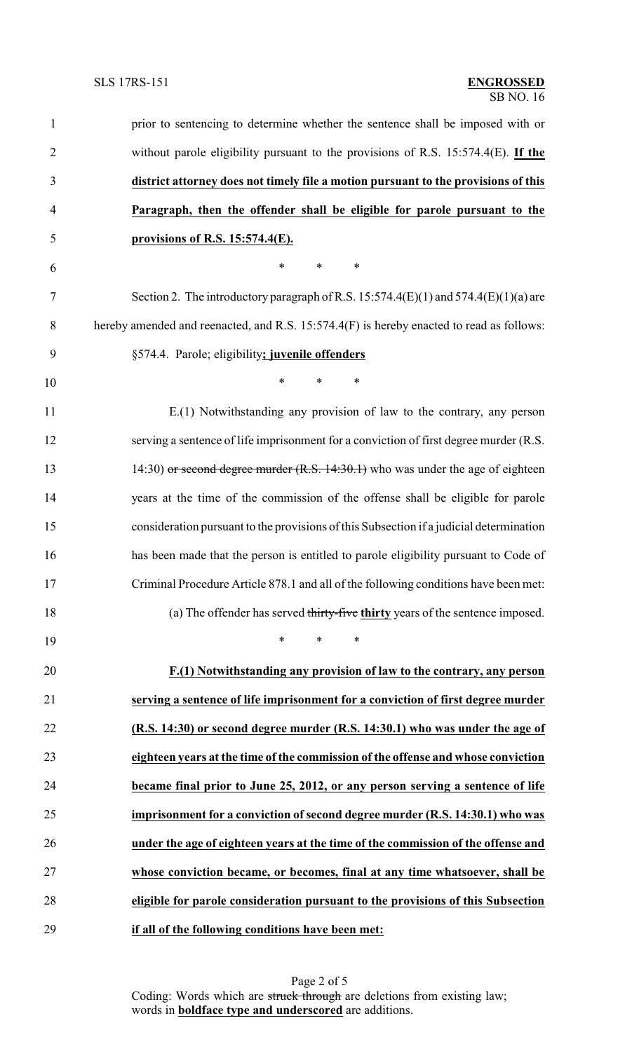| $\mathbf{1}$   | prior to sentencing to determine whether the sentence shall be imposed with or           |
|----------------|------------------------------------------------------------------------------------------|
| $\overline{2}$ | without parole eligibility pursuant to the provisions of R.S. $15:574.4(E)$ . If the     |
| 3              | district attorney does not timely file a motion pursuant to the provisions of this       |
| $\overline{4}$ | Paragraph, then the offender shall be eligible for parole pursuant to the                |
| 5              | provisions of R.S. 15:574.4(E).                                                          |
| 6              | $\ast$<br>$\ast$<br>∗                                                                    |
| $\overline{7}$ | Section 2. The introductory paragraph of R.S. 15:574.4(E)(1) and $574.4$ (E)(1)(a) are   |
| 8              | hereby amended and reenacted, and R.S. 15:574.4(F) is hereby enacted to read as follows: |
| 9              | §574.4. Parole; eligibility; juvenile offenders                                          |
| 10             | $\ast$<br>*<br>*                                                                         |
| 11             | E.(1) Notwithstanding any provision of law to the contrary, any person                   |
| 12             | serving a sentence of life imprisonment for a conviction of first degree murder (R.S.    |
| 13             | 14:30) or second degree murder $(R.S. 14:30.1)$ who was under the age of eighteen        |
| 14             | years at the time of the commission of the offense shall be eligible for parole          |
| 15             | consideration pursuant to the provisions of this Subsection if a judicial determination  |
| 16             | has been made that the person is entitled to parole eligibility pursuant to Code of      |
| 17             | Criminal Procedure Article 878.1 and all of the following conditions have been met:      |
| 18             | (a) The offender has served thirty-five thirty years of the sentence imposed.            |
| 19             | $\ast$<br>$\ast$<br>$\ast$                                                               |
| 20             | F.(1) Notwithstanding any provision of law to the contrary, any person                   |
| 21             | serving a sentence of life imprisonment for a conviction of first degree murder          |
| 22             | (R.S. 14:30) or second degree murder (R.S. 14:30.1) who was under the age of             |
| 23             | eighteen years at the time of the commission of the offense and whose conviction         |
| 24             | became final prior to June 25, 2012, or any person serving a sentence of life            |
| 25             | imprisonment for a conviction of second degree murder (R.S. 14:30.1) who was             |
| 26             | under the age of eighteen years at the time of the commission of the offense and         |
| 27             | whose conviction became, or becomes, final at any time whatsoever, shall be              |
| 28             | eligible for parole consideration pursuant to the provisions of this Subsection          |
| 29             | if all of the following conditions have been met:                                        |

Page 2 of 5 Coding: Words which are struck through are deletions from existing law; words in **boldface type and underscored** are additions.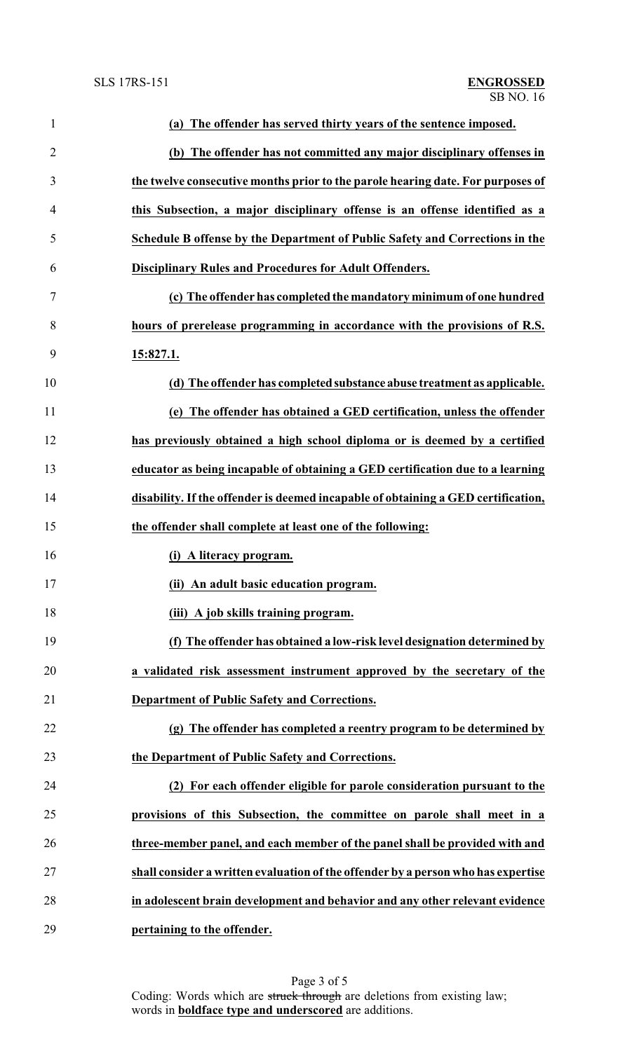| $\mathbf{1}$   | (a) The offender has served thirty years of the sentence imposed.                 |
|----------------|-----------------------------------------------------------------------------------|
| $\overline{2}$ | (b) The offender has not committed any major disciplinary offenses in             |
| 3              | the twelve consecutive months prior to the parole hearing date. For purposes of   |
| 4              | this Subsection, a major disciplinary offense is an offense identified as a       |
| 5              | Schedule B offense by the Department of Public Safety and Corrections in the      |
| 6              | <b>Disciplinary Rules and Procedures for Adult Offenders.</b>                     |
| 7              | (c) The offender has completed the mandatory minimum of one hundred               |
| 8              | hours of prerelease programming in accordance with the provisions of R.S.         |
| 9              | 15:827.1.                                                                         |
| 10             | (d) The offender has completed substance abuse treatment as applicable.           |
| 11             | (e) The offender has obtained a GED certification, unless the offender            |
| 12             | has previously obtained a high school diploma or is deemed by a certified         |
| 13             | educator as being incapable of obtaining a GED certification due to a learning    |
| 14             | disability. If the offender is deemed incapable of obtaining a GED certification, |
| 15             | the offender shall complete at least one of the following:                        |
| 16             | (i) A literacy program.                                                           |
| 17             | (ii) An adult basic education program.                                            |
| 18             | (iii) A job skills training program.                                              |
| 19             | (f) The offender has obtained a low-risk level designation determined by          |
| 20             | a validated risk assessment instrument approved by the secretary of the           |
| 21             | Department of Public Safety and Corrections.                                      |
| 22             | (g) The offender has completed a reentry program to be determined by              |
| 23             | the Department of Public Safety and Corrections.                                  |
| 24             | (2) For each offender eligible for parole consideration pursuant to the           |
| 25             | provisions of this Subsection, the committee on parole shall meet in a            |
| 26             | three-member panel, and each member of the panel shall be provided with and       |
| 27             | shall consider a written evaluation of the offender by a person who has expertise |
| 28             | in adolescent brain development and behavior and any other relevant evidence      |
| 29             | pertaining to the offender.                                                       |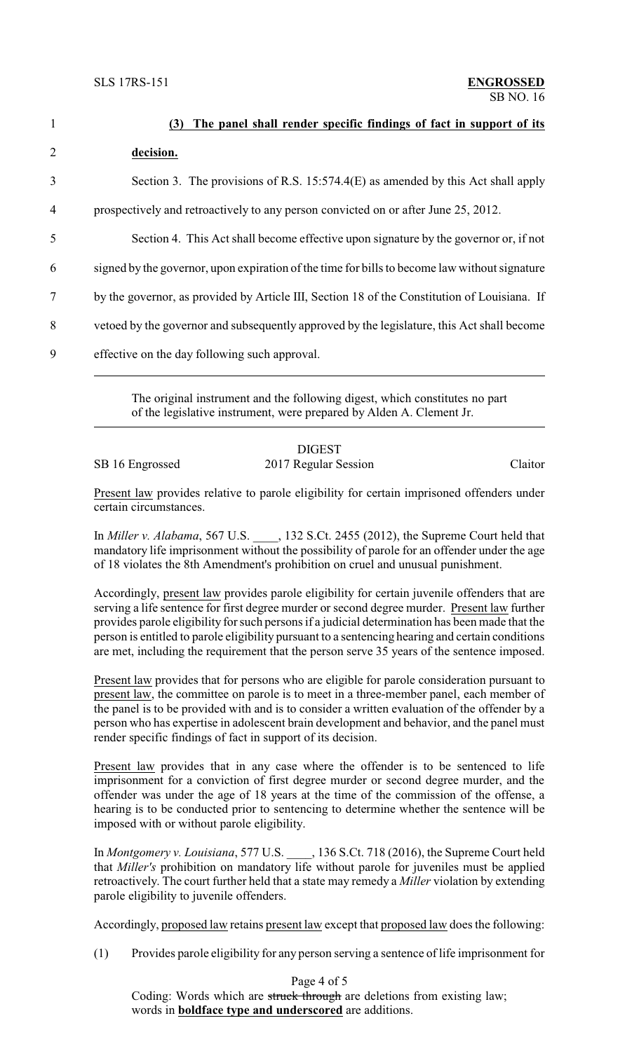| $\mathbf{1}$   | (3) The panel shall render specific findings of fact in support of its                        |
|----------------|-----------------------------------------------------------------------------------------------|
| $\overline{2}$ | decision.                                                                                     |
| 3              | Section 3. The provisions of R.S. 15:574.4(E) as amended by this Act shall apply              |
| 4              | prospectively and retroactively to any person convicted on or after June 25, 2012.            |
| 5              | Section 4. This Act shall become effective upon signature by the governor or, if not          |
| 6              | signed by the governor, upon expiration of the time for bills to become law without signature |
| 7              | by the governor, as provided by Article III, Section 18 of the Constitution of Louisiana. If  |
| 8              | vetoed by the governor and subsequently approved by the legislature, this Act shall become    |
| 9              | effective on the day following such approval.                                                 |
|                |                                                                                               |

The original instrument and the following digest, which constitutes no part of the legislative instrument, were prepared by Alden A. Clement Jr.

## DIGEST

SB 16 Engrossed 2017 Regular Session Claitor

Present law provides relative to parole eligibility for certain imprisoned offenders under certain circumstances.

In *Miller v. Alabama*, 567 U.S. \_\_\_\_, 132 S.Ct. 2455 (2012), the Supreme Court held that mandatory life imprisonment without the possibility of parole for an offender under the age of 18 violates the 8th Amendment's prohibition on cruel and unusual punishment.

Accordingly, present law provides parole eligibility for certain juvenile offenders that are serving a life sentence for first degree murder or second degree murder. Present law further provides parole eligibility for such persons if a judicial determination has been made that the person is entitled to parole eligibility pursuant to a sentencing hearing and certain conditions are met, including the requirement that the person serve 35 years of the sentence imposed.

Present law provides that for persons who are eligible for parole consideration pursuant to present law, the committee on parole is to meet in a three-member panel, each member of the panel is to be provided with and is to consider a written evaluation of the offender by a person who has expertise in adolescent brain development and behavior, and the panel must render specific findings of fact in support of its decision.

Present law provides that in any case where the offender is to be sentenced to life imprisonment for a conviction of first degree murder or second degree murder, and the offender was under the age of 18 years at the time of the commission of the offense, a hearing is to be conducted prior to sentencing to determine whether the sentence will be imposed with or without parole eligibility.

In *Montgomery v. Louisiana*, 577 U.S. \_\_\_\_, 136 S.Ct. 718 (2016), the Supreme Court held that *Miller's* prohibition on mandatory life without parole for juveniles must be applied retroactively. The court further held that a state may remedy a *Miller* violation by extending parole eligibility to juvenile offenders.

Accordingly, proposed law retains present law except that proposed law does the following:

(1) Provides parole eligibility for any person serving a sentence of life imprisonment for

Page 4 of 5

Coding: Words which are struck through are deletions from existing law; words in **boldface type and underscored** are additions.